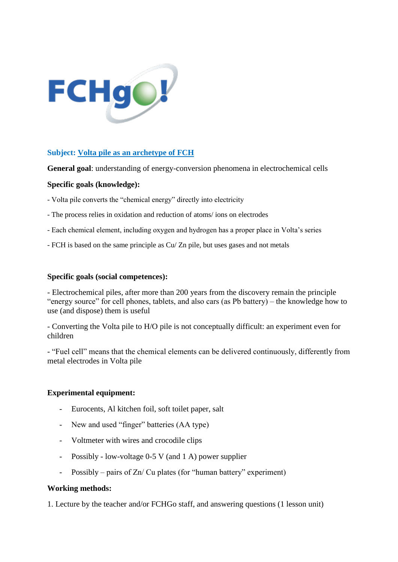

## **Subject: Volta pile as an archetype of FCH**

**General goal**: understanding of energy-conversion phenomena in electrochemical cells

## **Specific goals (knowledge):**

- Volta pile converts the "chemical energy" directly into electricity
- The process relies in oxidation and reduction of atoms/ ions on electrodes
- Each chemical element, including oxygen and hydrogen has a proper place in Volta's series
- FCH is based on the same principle as Cu/ Zn pile, but uses gases and not metals

#### **Specific goals (social competences):**

- Electrochemical piles, after more than 200 years from the discovery remain the principle "energy source" for cell phones, tablets, and also cars (as Pb battery) – the knowledge how to use (and dispose) them is useful

- Converting the Volta pile to H/O pile is not conceptually difficult: an experiment even for children

- "Fuel cell" means that the chemical elements can be delivered continuously, differently from metal electrodes in Volta pile

#### **Experimental equipment:**

- Eurocents, Al kitchen foil, soft toilet paper, salt
- New and used "finger" batteries (AA type)
- Voltmeter with wires and crocodile clips
- Possibly low-voltage 0-5 V (and 1 A) power supplier
- Possibly pairs of Zn/ Cu plates (for "human battery" experiment)

#### **Working methods:**

1. Lecture by the teacher and/or FCHGo staff, and answering questions (1 lesson unit)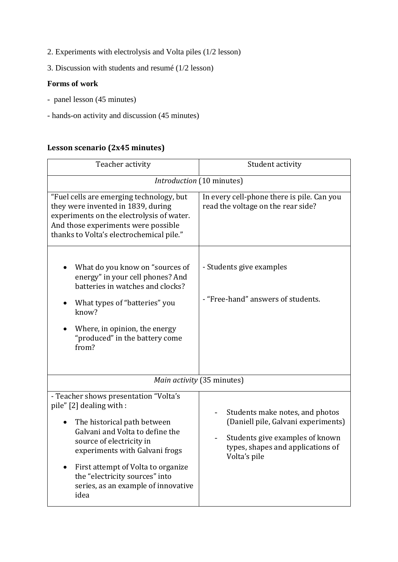- 2. Experiments with electrolysis and Volta piles (1/2 lesson)
- 3. Discussion with students and resumé (1/2 lesson)

## **Forms of work**

- panel lesson (45 minutes)
- hands-on activity and discussion (45 minutes)

# **Lesson scenario (2x45 minutes)**

| Teacher activity                                                                                                                                                                                                                                                                                                                      | Student activity                                                                                                                                                                           |  |
|---------------------------------------------------------------------------------------------------------------------------------------------------------------------------------------------------------------------------------------------------------------------------------------------------------------------------------------|--------------------------------------------------------------------------------------------------------------------------------------------------------------------------------------------|--|
| Introduction (10 minutes)                                                                                                                                                                                                                                                                                                             |                                                                                                                                                                                            |  |
| "Fuel cells are emerging technology, but<br>they were invented in 1839, during<br>experiments on the electrolysis of water.<br>And those experiments were possible<br>thanks to Volta's electrochemical pile."                                                                                                                        | In every cell-phone there is pile. Can you<br>read the voltage on the rear side?                                                                                                           |  |
| What do you know on "sources of<br>energy" in your cell phones? And<br>batteries in watches and clocks?<br>What types of "batteries" you<br>know?<br>Where, in opinion, the energy<br>"produced" in the battery come<br>from?                                                                                                         | - Students give examples<br>- "Free-hand" answers of students.                                                                                                                             |  |
| Main activity (35 minutes)                                                                                                                                                                                                                                                                                                            |                                                                                                                                                                                            |  |
| - Teacher shows presentation "Volta's<br>pile" [2] dealing with :<br>The historical path between<br>Galvani and Volta to define the<br>source of electricity in<br>experiments with Galvani frogs<br>First attempt of Volta to organize<br>$\bullet$<br>the "electricity sources" into<br>series, as an example of innovative<br>idea | Students make notes, and photos<br>(Daniell pile, Galvani experiments)<br>Students give examples of known<br>$\overline{\phantom{a}}$<br>types, shapes and applications of<br>Volta's pile |  |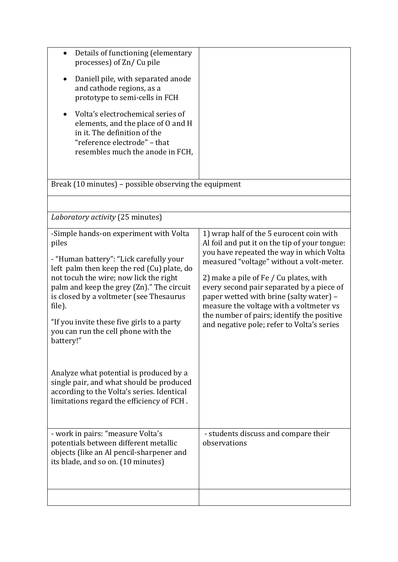| Details of functioning (elementary<br>$\bullet$<br>processes) of Zn/Cu pile<br>Daniell pile, with separated anode<br>and cathode regions, as a<br>prototype to semi-cells in FCH<br>Volta's electrochemical series of<br>elements, and the place of 0 and H<br>in it. The definition of the<br>"reference electrode" - that<br>resembles much the anode in FCH,                                                                                                                                                                                                          |                                                                                                                                                                                                                                                                                                                                                                                                                                                            |  |
|--------------------------------------------------------------------------------------------------------------------------------------------------------------------------------------------------------------------------------------------------------------------------------------------------------------------------------------------------------------------------------------------------------------------------------------------------------------------------------------------------------------------------------------------------------------------------|------------------------------------------------------------------------------------------------------------------------------------------------------------------------------------------------------------------------------------------------------------------------------------------------------------------------------------------------------------------------------------------------------------------------------------------------------------|--|
| Break (10 minutes) - possible observing the equipment                                                                                                                                                                                                                                                                                                                                                                                                                                                                                                                    |                                                                                                                                                                                                                                                                                                                                                                                                                                                            |  |
|                                                                                                                                                                                                                                                                                                                                                                                                                                                                                                                                                                          |                                                                                                                                                                                                                                                                                                                                                                                                                                                            |  |
| Laboratory activity (25 minutes)                                                                                                                                                                                                                                                                                                                                                                                                                                                                                                                                         |                                                                                                                                                                                                                                                                                                                                                                                                                                                            |  |
| -Simple hands-on experiment with Volta<br>piles<br>- "Human battery": "Lick carefully your<br>left palm then keep the red (Cu) plate, do<br>not tocuh the wire; now lick the right<br>palm and keep the grey (Zn)." The circuit<br>is closed by a voltmeter (see Thesaurus<br>file).<br>"If you invite these five girls to a party<br>you can run the cell phone with the<br>battery!"<br>Analyze what potential is produced by a<br>single pair, and what should be produced<br>according to the Volta's series. Identical<br>limitations regard the efficiency of FCH. | 1) wrap half of the 5 eurocent coin with<br>Al foil and put it on the tip of your tongue:<br>you have repeated the way in which Volta<br>measured "voltage" without a volt-meter.<br>2) make a pile of Fe / Cu plates, with<br>every second pair separated by a piece of<br>paper wetted with brine (salty water) -<br>measure the voltage with a voltmeter vs<br>the number of pairs; identify the positive<br>and negative pole; refer to Volta's series |  |
| - work in pairs: "measure Volta's<br>potentials between different metallic<br>objects (like an Al pencil-sharpener and<br>its blade, and so on. (10 minutes)                                                                                                                                                                                                                                                                                                                                                                                                             | - students discuss and compare their<br>observations                                                                                                                                                                                                                                                                                                                                                                                                       |  |
|                                                                                                                                                                                                                                                                                                                                                                                                                                                                                                                                                                          |                                                                                                                                                                                                                                                                                                                                                                                                                                                            |  |